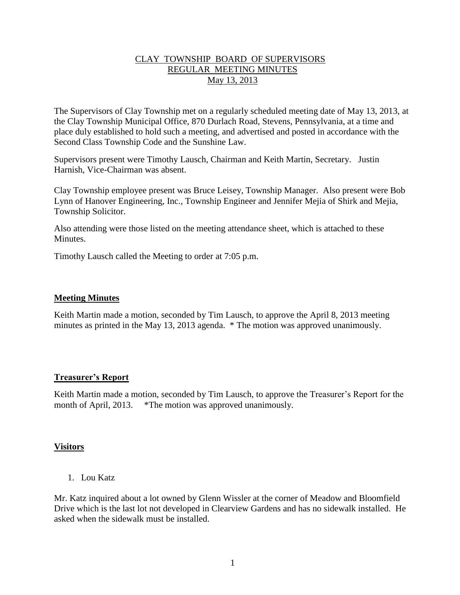### CLAY TOWNSHIP BOARD OF SUPERVISORS REGULAR MEETING MINUTES May 13, 2013

The Supervisors of Clay Township met on a regularly scheduled meeting date of May 13, 2013, at the Clay Township Municipal Office, 870 Durlach Road, Stevens, Pennsylvania, at a time and place duly established to hold such a meeting, and advertised and posted in accordance with the Second Class Township Code and the Sunshine Law.

Supervisors present were Timothy Lausch, Chairman and Keith Martin, Secretary. Justin Harnish, Vice-Chairman was absent.

Clay Township employee present was Bruce Leisey, Township Manager. Also present were Bob Lynn of Hanover Engineering, Inc., Township Engineer and Jennifer Mejia of Shirk and Mejia, Township Solicitor.

Also attending were those listed on the meeting attendance sheet, which is attached to these **Minutes** 

Timothy Lausch called the Meeting to order at 7:05 p.m.

#### **Meeting Minutes**

Keith Martin made a motion, seconded by Tim Lausch, to approve the April 8, 2013 meeting minutes as printed in the May 13, 2013 agenda. \* The motion was approved unanimously.

# **Treasurer's Report**

Keith Martin made a motion, seconded by Tim Lausch, to approve the Treasurer's Report for the month of April, 2013. \*The motion was approved unanimously.

# **Visitors**

1. Lou Katz

Mr. Katz inquired about a lot owned by Glenn Wissler at the corner of Meadow and Bloomfield Drive which is the last lot not developed in Clearview Gardens and has no sidewalk installed. He asked when the sidewalk must be installed.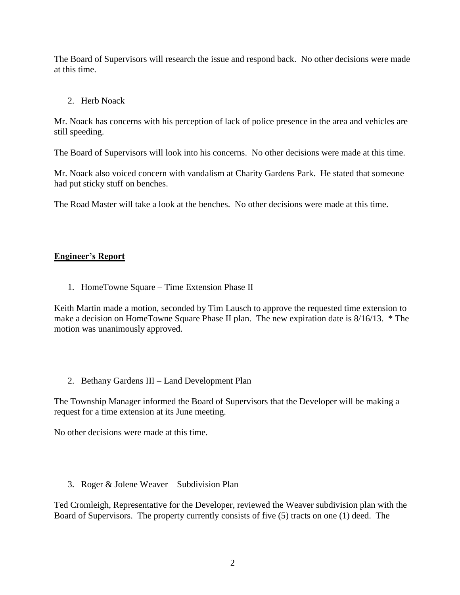The Board of Supervisors will research the issue and respond back. No other decisions were made at this time.

### 2. Herb Noack

Mr. Noack has concerns with his perception of lack of police presence in the area and vehicles are still speeding.

The Board of Supervisors will look into his concerns. No other decisions were made at this time.

Mr. Noack also voiced concern with vandalism at Charity Gardens Park. He stated that someone had put sticky stuff on benches.

The Road Master will take a look at the benches. No other decisions were made at this time.

# **Engineer's Report**

1. HomeTowne Square – Time Extension Phase II

Keith Martin made a motion, seconded by Tim Lausch to approve the requested time extension to make a decision on HomeTowne Square Phase II plan. The new expiration date is 8/16/13. \* The motion was unanimously approved.

# 2. Bethany Gardens III – Land Development Plan

The Township Manager informed the Board of Supervisors that the Developer will be making a request for a time extension at its June meeting.

No other decisions were made at this time.

3. Roger & Jolene Weaver – Subdivision Plan

Ted Cromleigh, Representative for the Developer, reviewed the Weaver subdivision plan with the Board of Supervisors. The property currently consists of five (5) tracts on one (1) deed. The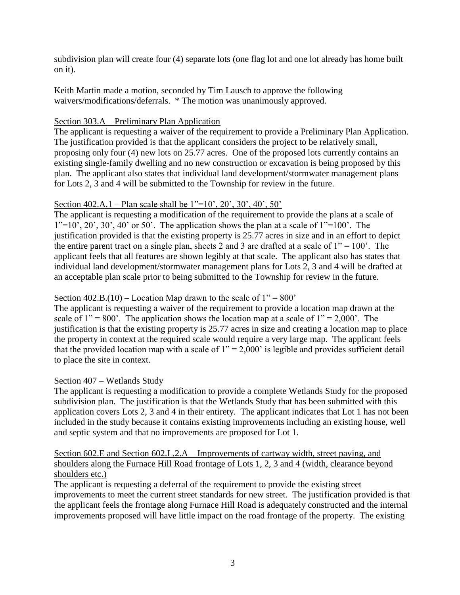subdivision plan will create four (4) separate lots (one flag lot and one lot already has home built on it).

Keith Martin made a motion, seconded by Tim Lausch to approve the following waivers/modifications/deferrals. \* The motion was unanimously approved.

### Section 303.A – Preliminary Plan Application

The applicant is requesting a waiver of the requirement to provide a Preliminary Plan Application. The justification provided is that the applicant considers the project to be relatively small, proposing only four (4) new lots on 25.77 acres. One of the proposed lots currently contains an existing single-family dwelling and no new construction or excavation is being proposed by this plan. The applicant also states that individual land development/stormwater management plans for Lots 2, 3 and 4 will be submitted to the Township for review in the future.

### Section 402.A.1 – Plan scale shall be 1"=10', 20', 30', 40', 50'

The applicant is requesting a modification of the requirement to provide the plans at a scale of  $1"=10'$ ,  $20'$ ,  $30'$ ,  $40'$  or  $50'$ . The application shows the plan at a scale of  $1"=100'$ . The justification provided is that the existing property is 25.77 acres in size and in an effort to depict the entire parent tract on a single plan, sheets 2 and 3 are drafted at a scale of  $1" = 100'$ . The applicant feels that all features are shown legibly at that scale. The applicant also has states that individual land development/stormwater management plans for Lots 2, 3 and 4 will be drafted at an acceptable plan scale prior to being submitted to the Township for review in the future.

### Section  $402.B.(10) - Location Map drawn to the scale of  $1'' = 800'$$

The applicant is requesting a waiver of the requirement to provide a location map drawn at the scale of  $1'' = 800'$ . The application shows the location map at a scale of  $1'' = 2,000'$ . The justification is that the existing property is 25.77 acres in size and creating a location map to place the property in context at the required scale would require a very large map. The applicant feels that the provided location map with a scale of  $1" = 2,000'$  is legible and provides sufficient detail to place the site in context.

#### Section 407 – Wetlands Study

The applicant is requesting a modification to provide a complete Wetlands Study for the proposed subdivision plan. The justification is that the Wetlands Study that has been submitted with this application covers Lots 2, 3 and 4 in their entirety. The applicant indicates that Lot 1 has not been included in the study because it contains existing improvements including an existing house, well and septic system and that no improvements are proposed for Lot 1.

# Section 602.E and Section 602.L.2.A – Improvements of cartway width, street paving, and shoulders along the Furnace Hill Road frontage of Lots 1, 2, 3 and 4 (width, clearance beyond shoulders etc.)

The applicant is requesting a deferral of the requirement to provide the existing street improvements to meet the current street standards for new street. The justification provided is that the applicant feels the frontage along Furnace Hill Road is adequately constructed and the internal improvements proposed will have little impact on the road frontage of the property. The existing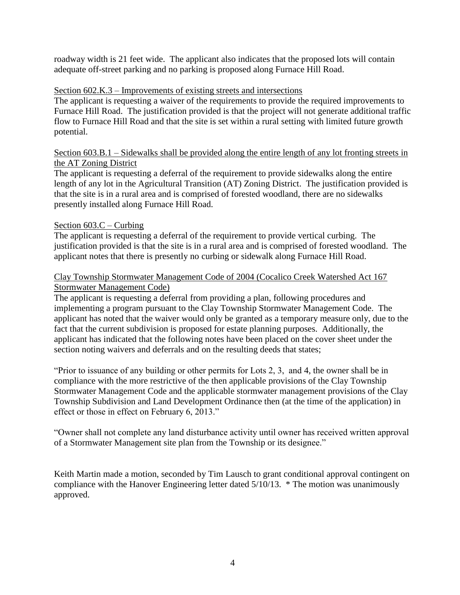roadway width is 21 feet wide. The applicant also indicates that the proposed lots will contain adequate off-street parking and no parking is proposed along Furnace Hill Road.

### Section 602.K.3 – Improvements of existing streets and intersections

The applicant is requesting a waiver of the requirements to provide the required improvements to Furnace Hill Road. The justification provided is that the project will not generate additional traffic flow to Furnace Hill Road and that the site is set within a rural setting with limited future growth potential.

#### Section 603.B.1 – Sidewalks shall be provided along the entire length of any lot fronting streets in the AT Zoning District

The applicant is requesting a deferral of the requirement to provide sidewalks along the entire length of any lot in the Agricultural Transition (AT) Zoning District. The justification provided is that the site is in a rural area and is comprised of forested woodland, there are no sidewalks presently installed along Furnace Hill Road.

#### Section 603.C – Curbing

The applicant is requesting a deferral of the requirement to provide vertical curbing. The justification provided is that the site is in a rural area and is comprised of forested woodland. The applicant notes that there is presently no curbing or sidewalk along Furnace Hill Road.

### Clay Township Stormwater Management Code of 2004 (Cocalico Creek Watershed Act 167 Stormwater Management Code)

The applicant is requesting a deferral from providing a plan, following procedures and implementing a program pursuant to the Clay Township Stormwater Management Code. The applicant has noted that the waiver would only be granted as a temporary measure only, due to the fact that the current subdivision is proposed for estate planning purposes. Additionally, the applicant has indicated that the following notes have been placed on the cover sheet under the section noting waivers and deferrals and on the resulting deeds that states;

"Prior to issuance of any building or other permits for Lots 2, 3, and 4, the owner shall be in compliance with the more restrictive of the then applicable provisions of the Clay Township Stormwater Management Code and the applicable stormwater management provisions of the Clay Township Subdivision and Land Development Ordinance then (at the time of the application) in effect or those in effect on February 6, 2013."

"Owner shall not complete any land disturbance activity until owner has received written approval of a Stormwater Management site plan from the Township or its designee."

Keith Martin made a motion, seconded by Tim Lausch to grant conditional approval contingent on compliance with the Hanover Engineering letter dated 5/10/13. \* The motion was unanimously approved.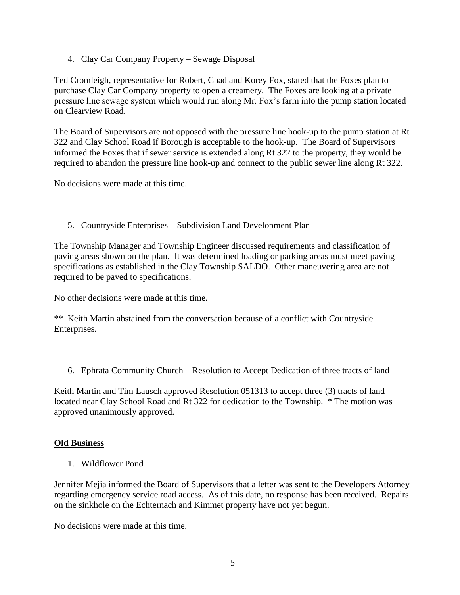4. Clay Car Company Property – Sewage Disposal

Ted Cromleigh, representative for Robert, Chad and Korey Fox, stated that the Foxes plan to purchase Clay Car Company property to open a creamery. The Foxes are looking at a private pressure line sewage system which would run along Mr. Fox's farm into the pump station located on Clearview Road.

The Board of Supervisors are not opposed with the pressure line hook-up to the pump station at Rt 322 and Clay School Road if Borough is acceptable to the hook-up. The Board of Supervisors informed the Foxes that if sewer service is extended along Rt 322 to the property, they would be required to abandon the pressure line hook-up and connect to the public sewer line along Rt 322.

No decisions were made at this time.

5. Countryside Enterprises – Subdivision Land Development Plan

The Township Manager and Township Engineer discussed requirements and classification of paving areas shown on the plan. It was determined loading or parking areas must meet paving specifications as established in the Clay Township SALDO. Other maneuvering area are not required to be paved to specifications.

No other decisions were made at this time.

\*\* Keith Martin abstained from the conversation because of a conflict with Countryside Enterprises.

6. Ephrata Community Church – Resolution to Accept Dedication of three tracts of land

Keith Martin and Tim Lausch approved Resolution 051313 to accept three (3) tracts of land located near Clay School Road and Rt 322 for dedication to the Township. \* The motion was approved unanimously approved.

#### **Old Business**

1. Wildflower Pond

Jennifer Mejia informed the Board of Supervisors that a letter was sent to the Developers Attorney regarding emergency service road access. As of this date, no response has been received. Repairs on the sinkhole on the Echternach and Kimmet property have not yet begun.

No decisions were made at this time.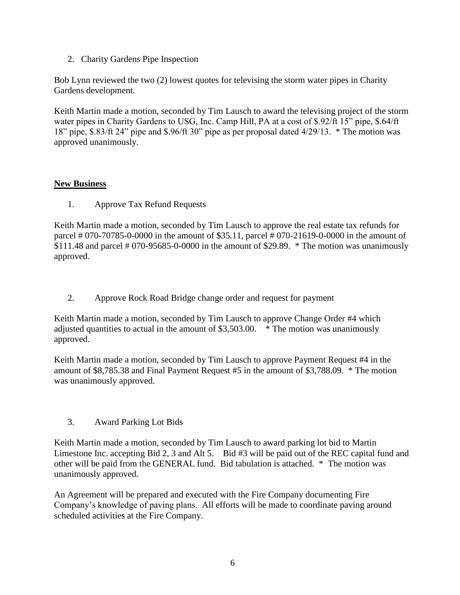2. Charity Gardens Pipe Inspection

Bob Lynn reviewed the two (2) lowest quotes for televising the storm water pipes in Charity Gardens development.

Keith Martin made a motion, seconded by Tim Lausch to award the televising project of the storm water pipes in Charity Gardens to USG, Inc. Camp Hill, PA at a cost of \$.92/ft 15" pipe, \$.64/ft 18" pipe, \$.83/ft 24" pipe and \$.96/ft 30" pipe as per proposal dated 4/29/13. \* The motion was approved unanimously.

# **New Business**

1. Approve Tax Refund Requests

Keith Martin made a motion, seconded by Tim Lausch to approve the real estate tax refunds for parcel # 070-70785-0-0000 in the amount of \$35.11, parcel # 070-21619-0-0000 in the amount of  $$111.48$  and parcel # 070-95685-0-0000 in the amount of \$29.89. \* The motion was unanimously approved.

2. Approve Rock Road Bridge change order and request for payment

Keith Martin made a motion, seconded by Tim Lausch to approve Change Order #4 which adjusted quantities to actual in the amount of \$3,503.00. \* The motion was unanimously approved.

Keith Martin made a motion, seconded by Tim Lausch to approve Payment Request #4 in the amount of \$8,785.38 and Final Payment Request #5 in the amount of \$3,788.09. \* The motion was unanimously approved.

3. Award Parking Lot Bids

Keith Martin made a motion, seconded by Tim Lausch to award parking lot bid to Martin Limestone Inc. accepting Bid 2, 3 and Alt 5. Bid #3 will be paid out of the REC capital fund and other will be paid from the GENERAL fund. Bid tabulation is attached. \* The motion was unanimously approved.

An Agreement will be prepared and executed with the Fire Company documenting Fire Company's knowledge of paving plans. All efforts will be made to coordinate paving around scheduled activities at the Fire Company.